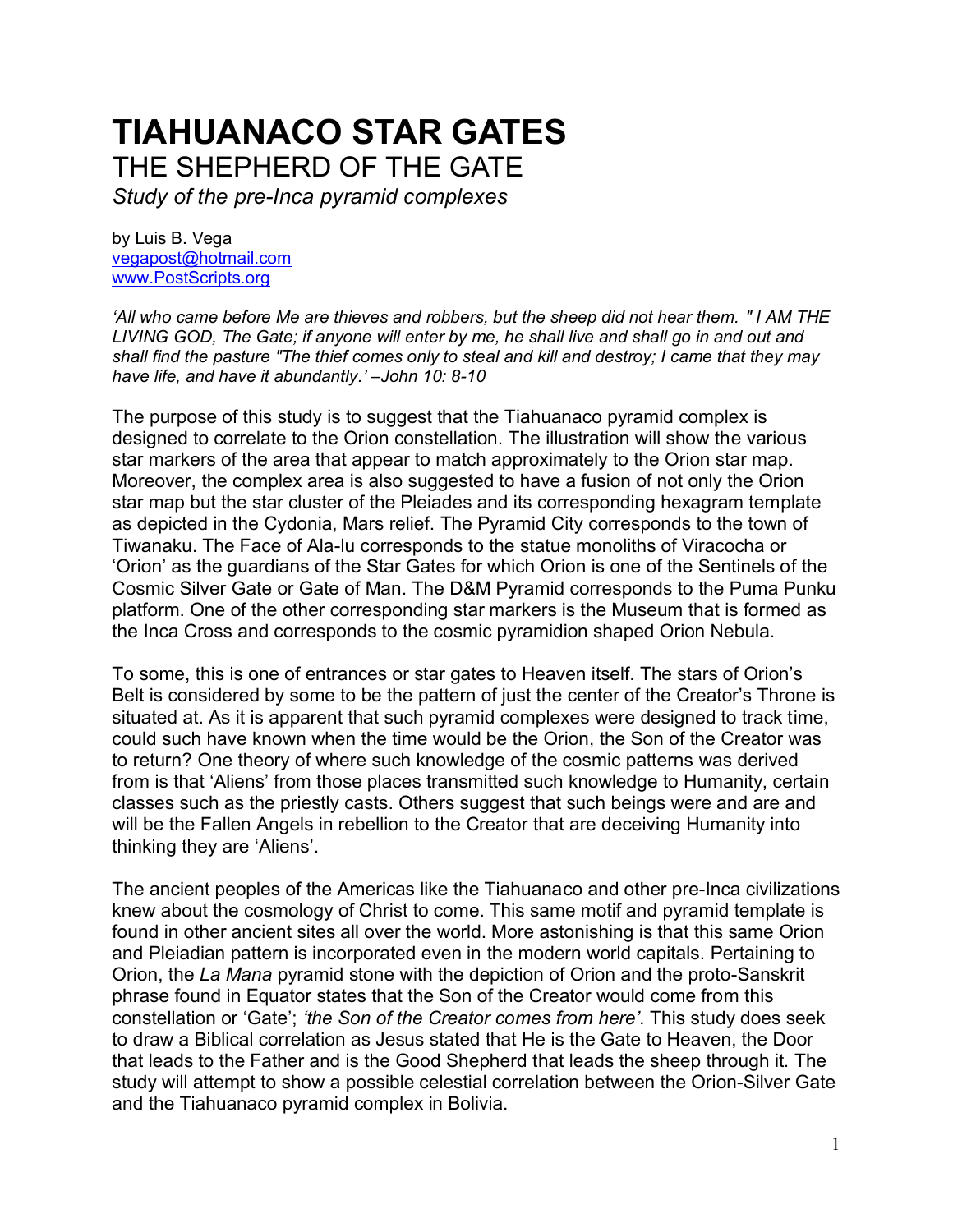# **TIAHUANACO STAR GATES**  THE SHEPHERD OF THE GATE

*Study of the pre-Inca pyramid complexes*

by Luis B. Vega [vegapost@hotmail.com](mailto:vegapost@hotmail.com) [www.PostScripts.org](http://www.postscripts.org/)

*'All who came before Me are thieves and robbers, but the sheep did not hear them. " I AM THE LIVING GOD, The Gate; if anyone will enter by me, he shall live and shall go in and out and shall find the pasture "The thief comes only to steal and kill and destroy; I came that they may have life, and have it abundantly.' –John 10: 8-10*

The purpose of this study is to suggest that the Tiahuanaco pyramid complex is designed to correlate to the Orion constellation. The illustration will show the various star markers of the area that appear to match approximately to the Orion star map. Moreover, the complex area is also suggested to have a fusion of not only the Orion star map but the star cluster of the Pleiades and its corresponding hexagram template as depicted in the Cydonia, Mars relief. The Pyramid City corresponds to the town of Tiwanaku. The Face of Ala-lu corresponds to the statue monoliths of Viracocha or 'Orion' as the guardians of the Star Gates for which Orion is one of the Sentinels of the Cosmic Silver Gate or Gate of Man. The D&M Pyramid corresponds to the Puma Punku platform. One of the other corresponding star markers is the Museum that is formed as the Inca Cross and corresponds to the cosmic pyramidion shaped Orion Nebula.

To some, this is one of entrances or star gates to Heaven itself. The stars of Orion's Belt is considered by some to be the pattern of just the center of the Creator's Throne is situated at. As it is apparent that such pyramid complexes were designed to track time, could such have known when the time would be the Orion, the Son of the Creator was to return? One theory of where such knowledge of the cosmic patterns was derived from is that 'Aliens' from those places transmitted such knowledge to Humanity, certain classes such as the priestly casts. Others suggest that such beings were and are and will be the Fallen Angels in rebellion to the Creator that are deceiving Humanity into thinking they are 'Aliens'.

The ancient peoples of the Americas like the Tiahuanaco and other pre-Inca civilizations knew about the cosmology of Christ to come. This same motif and pyramid template is found in other ancient sites all over the world. More astonishing is that this same Orion and Pleiadian pattern is incorporated even in the modern world capitals. Pertaining to Orion, the *La Mana* pyramid stone with the depiction of Orion and the proto-Sanskrit phrase found in Equator states that the Son of the Creator would come from this constellation or 'Gate'; *'the Son of the Creator comes from here'.* This study does seek to draw a Biblical correlation as Jesus stated that He is the Gate to Heaven, the Door that leads to the Father and is the Good Shepherd that leads the sheep through it. The study will attempt to show a possible celestial correlation between the Orion-Silver Gate and the Tiahuanaco pyramid complex in Bolivia.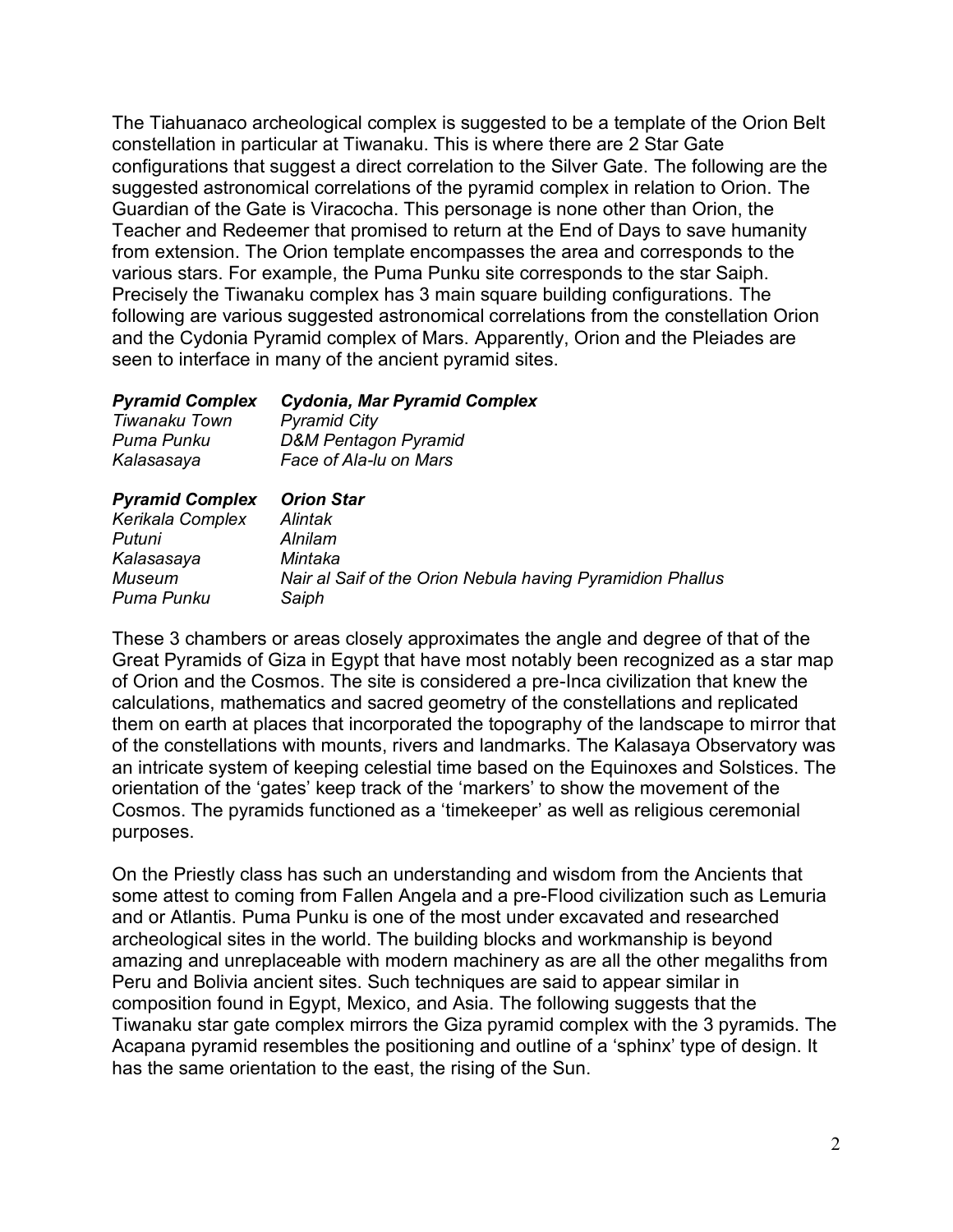The Tiahuanaco archeological complex is suggested to be a template of the Orion Belt constellation in particular at Tiwanaku. This is where there are 2 Star Gate configurations that suggest a direct correlation to the Silver Gate. The following are the suggested astronomical correlations of the pyramid complex in relation to Orion. The Guardian of the Gate is Viracocha. This personage is none other than Orion, the Teacher and Redeemer that promised to return at the End of Days to save humanity from extension. The Orion template encompasses the area and corresponds to the various stars. For example, the Puma Punku site corresponds to the star Saiph. Precisely the Tiwanaku complex has 3 main square building configurations. The following are various suggested astronomical correlations from the constellation Orion and the Cydonia Pyramid complex of Mars. Apparently, Orion and the Pleiades are seen to interface in many of the ancient pyramid sites.

| <b>Cydonia, Mar Pyramid Complex</b><br><b>Pyramid City</b> |
|------------------------------------------------------------|
|                                                            |
| Face of Ala-lu on Mars                                     |
| <b>Orion Star</b>                                          |
| Alintak                                                    |
| Alnilam                                                    |
| Mintaka                                                    |
| Nair al Saif of the Orion Nebula having Pyramidion Phallus |
| Saiph                                                      |
|                                                            |

These 3 chambers or areas closely approximates the angle and degree of that of the Great Pyramids of Giza in Egypt that have most notably been recognized as a star map of Orion and the Cosmos. The site is considered a pre-Inca civilization that knew the calculations, mathematics and sacred geometry of the constellations and replicated them on earth at places that incorporated the topography of the landscape to mirror that of the constellations with mounts, rivers and landmarks. The Kalasaya Observatory was an intricate system of keeping celestial time based on the Equinoxes and Solstices. The orientation of the 'gates' keep track of the 'markers' to show the movement of the Cosmos. The pyramids functioned as a 'timekeeper' as well as religious ceremonial purposes.

On the Priestly class has such an understanding and wisdom from the Ancients that some attest to coming from Fallen Angela and a pre-Flood civilization such as Lemuria and or Atlantis. Puma Punku is one of the most under excavated and researched archeological sites in the world. The building blocks and workmanship is beyond amazing and unreplaceable with modern machinery as are all the other megaliths from Peru and Bolivia ancient sites. Such techniques are said to appear similar in composition found in Egypt, Mexico, and Asia. The following suggests that the Tiwanaku star gate complex mirrors the Giza pyramid complex with the 3 pyramids. The Acapana pyramid resembles the positioning and outline of a 'sphinx' type of design. It has the same orientation to the east, the rising of the Sun.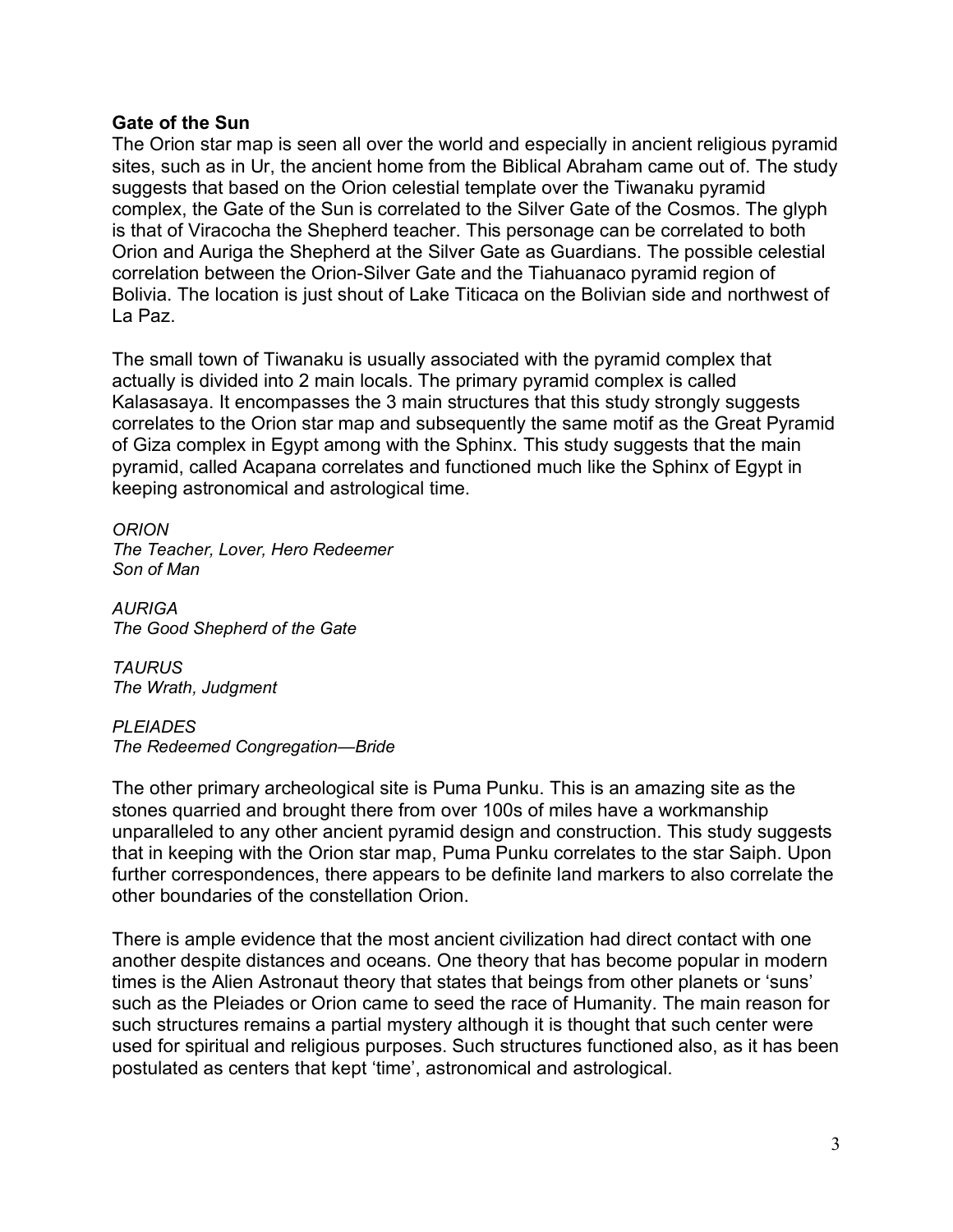## **Gate of the Sun**

The Orion star map is seen all over the world and especially in ancient religious pyramid sites, such as in Ur, the ancient home from the Biblical Abraham came out of. The study suggests that based on the Orion celestial template over the Tiwanaku pyramid complex, the Gate of the Sun is correlated to the Silver Gate of the Cosmos. The glyph is that of Viracocha the Shepherd teacher. This personage can be correlated to both Orion and Auriga the Shepherd at the Silver Gate as Guardians. The possible celestial correlation between the Orion-Silver Gate and the Tiahuanaco pyramid region of Bolivia. The location is just shout of Lake Titicaca on the Bolivian side and northwest of La Paz.

The small town of Tiwanaku is usually associated with the pyramid complex that actually is divided into 2 main locals. The primary pyramid complex is called Kalasasaya. It encompasses the 3 main structures that this study strongly suggests correlates to the Orion star map and subsequently the same motif as the Great Pyramid of Giza complex in Egypt among with the Sphinx. This study suggests that the main pyramid, called Acapana correlates and functioned much like the Sphinx of Egypt in keeping astronomical and astrological time.

*ORION The Teacher, Lover, Hero Redeemer Son of Man*

*AURIGA The Good Shepherd of the Gate*

*TAURUS The Wrath, Judgment*

*PLEIADES The Redeemed Congregation—Bride*

The other primary archeological site is Puma Punku. This is an amazing site as the stones quarried and brought there from over 100s of miles have a workmanship unparalleled to any other ancient pyramid design and construction. This study suggests that in keeping with the Orion star map, Puma Punku correlates to the star Saiph. Upon further correspondences, there appears to be definite land markers to also correlate the other boundaries of the constellation Orion.

There is ample evidence that the most ancient civilization had direct contact with one another despite distances and oceans. One theory that has become popular in modern times is the Alien Astronaut theory that states that beings from other planets or 'suns' such as the Pleiades or Orion came to seed the race of Humanity. The main reason for such structures remains a partial mystery although it is thought that such center were used for spiritual and religious purposes. Such structures functioned also, as it has been postulated as centers that kept 'time', astronomical and astrological.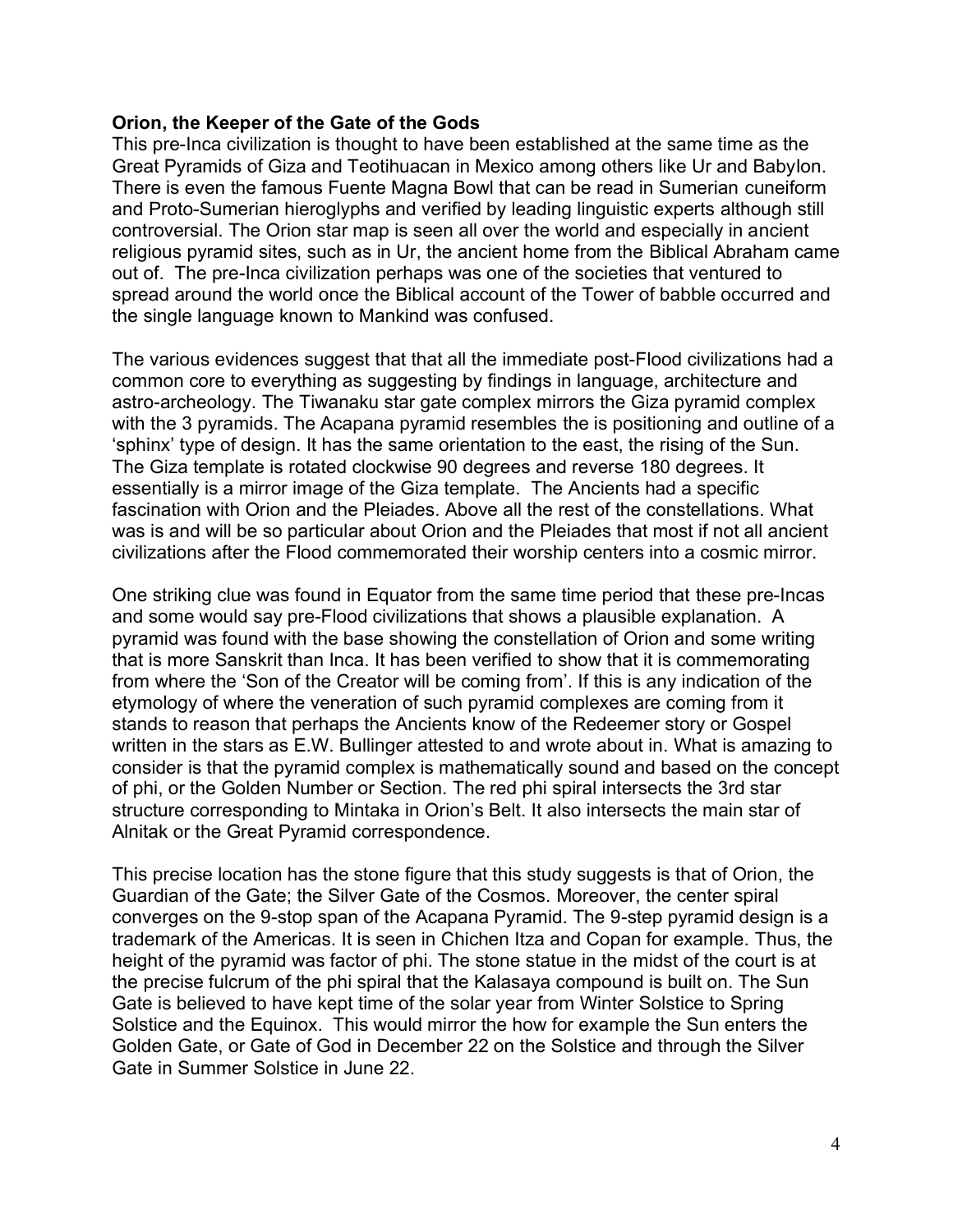## **Orion, the Keeper of the Gate of the Gods**

This pre-Inca civilization is thought to have been established at the same time as the Great Pyramids of Giza and Teotihuacan in Mexico among others like Ur and Babylon. There is even the famous Fuente Magna Bowl that can be read in Sumerian cuneiform and Proto-Sumerian hieroglyphs and verified by leading linguistic experts although still controversial. The Orion star map is seen all over the world and especially in ancient religious pyramid sites, such as in Ur, the ancient home from the Biblical Abraham came out of. The pre-Inca civilization perhaps was one of the societies that ventured to spread around the world once the Biblical account of the Tower of babble occurred and the single language known to Mankind was confused.

The various evidences suggest that that all the immediate post-Flood civilizations had a common core to everything as suggesting by findings in language, architecture and astro-archeology. The Tiwanaku star gate complex mirrors the Giza pyramid complex with the 3 pyramids. The Acapana pyramid resembles the is positioning and outline of a 'sphinx' type of design. It has the same orientation to the east, the rising of the Sun. The Giza template is rotated clockwise 90 degrees and reverse 180 degrees. It essentially is a mirror image of the Giza template. The Ancients had a specific fascination with Orion and the Pleiades. Above all the rest of the constellations. What was is and will be so particular about Orion and the Pleiades that most if not all ancient civilizations after the Flood commemorated their worship centers into a cosmic mirror.

One striking clue was found in Equator from the same time period that these pre-Incas and some would say pre-Flood civilizations that shows a plausible explanation. A pyramid was found with the base showing the constellation of Orion and some writing that is more Sanskrit than Inca. It has been verified to show that it is commemorating from where the 'Son of the Creator will be coming from'. If this is any indication of the etymology of where the veneration of such pyramid complexes are coming from it stands to reason that perhaps the Ancients know of the Redeemer story or Gospel written in the stars as E.W. Bullinger attested to and wrote about in. What is amazing to consider is that the pyramid complex is mathematically sound and based on the concept of phi, or the Golden Number or Section. The red phi spiral intersects the 3rd star structure corresponding to Mintaka in Orion's Belt. It also intersects the main star of Alnitak or the Great Pyramid correspondence.

This precise location has the stone figure that this study suggests is that of Orion, the Guardian of the Gate; the Silver Gate of the Cosmos. Moreover, the center spiral converges on the 9-stop span of the Acapana Pyramid. The 9-step pyramid design is a trademark of the Americas. It is seen in Chichen Itza and Copan for example. Thus, the height of the pyramid was factor of phi. The stone statue in the midst of the court is at the precise fulcrum of the phi spiral that the Kalasaya compound is built on. The Sun Gate is believed to have kept time of the solar year from Winter Solstice to Spring Solstice and the Equinox. This would mirror the how for example the Sun enters the Golden Gate, or Gate of God in December 22 on the Solstice and through the Silver Gate in Summer Solstice in June 22.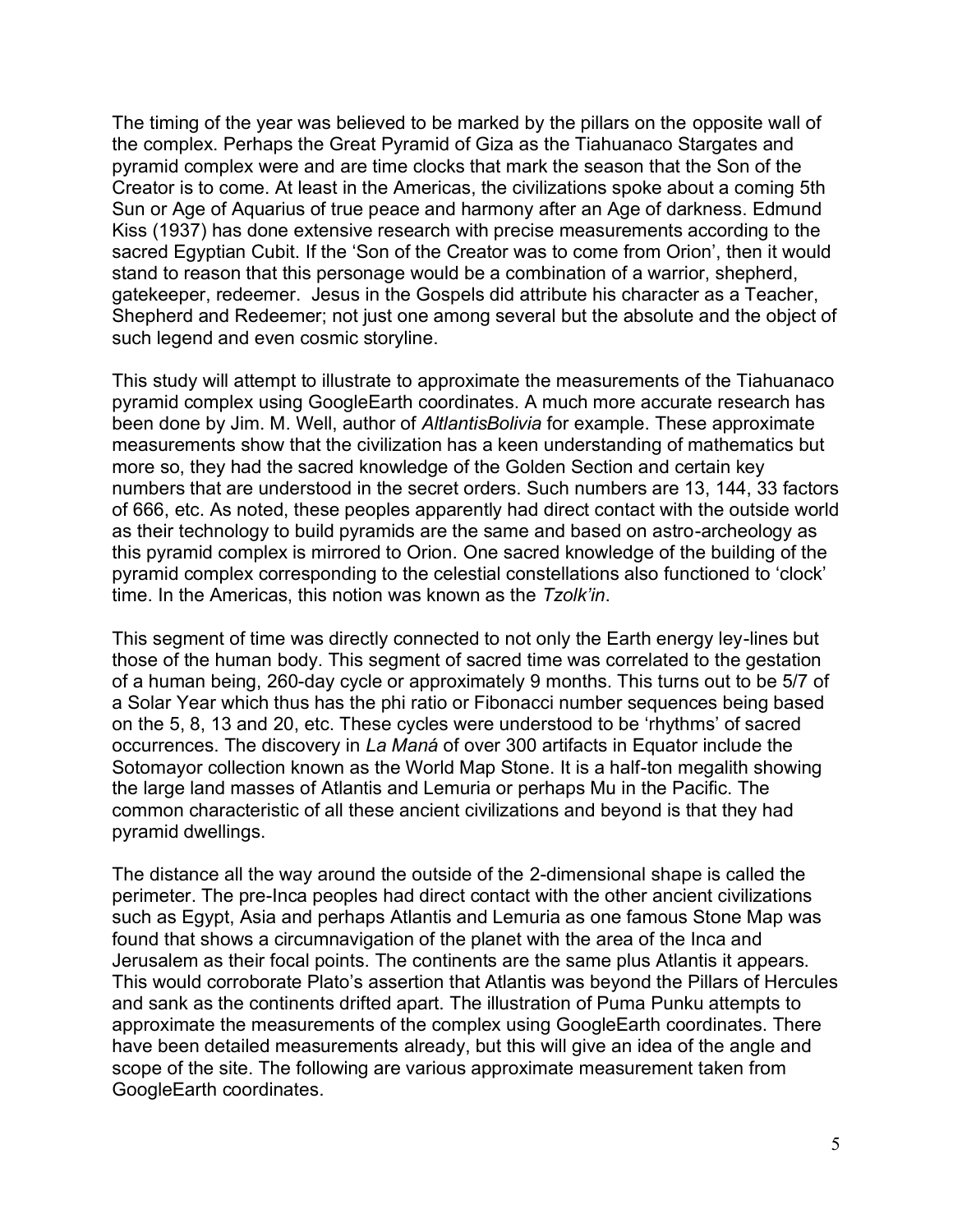The timing of the year was believed to be marked by the pillars on the opposite wall of the complex. Perhaps the Great Pyramid of Giza as the Tiahuanaco Stargates and pyramid complex were and are time clocks that mark the season that the Son of the Creator is to come. At least in the Americas, the civilizations spoke about a coming 5th Sun or Age of Aquarius of true peace and harmony after an Age of darkness. Edmund Kiss (1937) has done extensive research with precise measurements according to the sacred Egyptian Cubit. If the 'Son of the Creator was to come from Orion', then it would stand to reason that this personage would be a combination of a warrior, shepherd, gatekeeper, redeemer. Jesus in the Gospels did attribute his character as a Teacher, Shepherd and Redeemer; not just one among several but the absolute and the object of such legend and even cosmic storyline.

This study will attempt to illustrate to approximate the measurements of the Tiahuanaco pyramid complex using GoogleEarth coordinates. A much more accurate research has been done by Jim. M. Well, author of *AltlantisBolivia* for example. These approximate measurements show that the civilization has a keen understanding of mathematics but more so, they had the sacred knowledge of the Golden Section and certain key numbers that are understood in the secret orders. Such numbers are 13, 144, 33 factors of 666, etc. As noted, these peoples apparently had direct contact with the outside world as their technology to build pyramids are the same and based on astro-archeology as this pyramid complex is mirrored to Orion. One sacred knowledge of the building of the pyramid complex corresponding to the celestial constellations also functioned to 'clock' time. In the Americas, this notion was known as the *Tzolk'in*.

This segment of time was directly connected to not only the Earth energy ley-lines but those of the human body. This segment of sacred time was correlated to the gestation of a human being, 260-day cycle or approximately 9 months. This turns out to be 5/7 of a Solar Year which thus has the phi ratio or Fibonacci number sequences being based on the 5, 8, 13 and 20, etc. These cycles were understood to be 'rhythms' of sacred occurrences. The discovery in *La Maná* of over 300 artifacts in Equator include the Sotomayor collection known as the World Map Stone. It is a half-ton megalith showing the large land masses of Atlantis and Lemuria or perhaps Mu in the Pacific. The common characteristic of all these ancient civilizations and beyond is that they had pyramid dwellings.

The distance all the way around the outside of the 2-dimensional shape is called the perimeter. The pre-Inca peoples had direct contact with the other ancient civilizations such as Egypt, Asia and perhaps Atlantis and Lemuria as one famous Stone Map was found that shows a circumnavigation of the planet with the area of the Inca and Jerusalem as their focal points. The continents are the same plus Atlantis it appears. This would corroborate Plato's assertion that Atlantis was beyond the Pillars of Hercules and sank as the continents drifted apart. The illustration of Puma Punku attempts to approximate the measurements of the complex using GoogleEarth coordinates. There have been detailed measurements already, but this will give an idea of the angle and scope of the site. The following are various approximate measurement taken from GoogleEarth coordinates.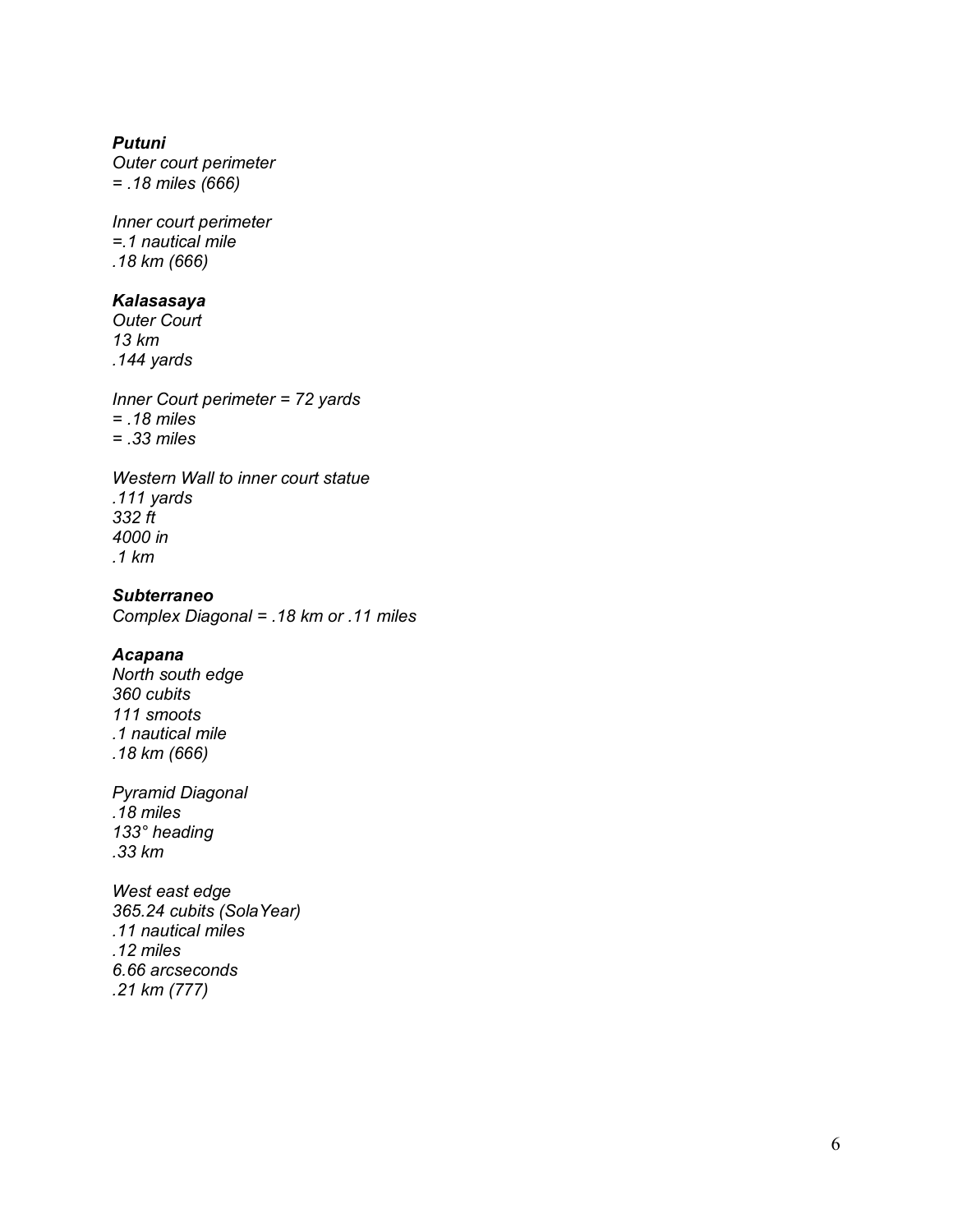#### *Putuni*

*Outer court perimeter = .18 miles (666)*

*Inner court perimeter =.1 nautical mile .18 km (666)*

#### *Kalasasaya*

*Outer Court 13 km .144 yards*

*Inner Court perimeter = 72 yards = .18 miles = .33 miles*

*Western Wall to inner court statue .111 yards 332 ft 4000 in .1 km*

*Subterraneo Complex Diagonal = .18 km or .11 miles*

#### *Acapana*

*North south edge 360 cubits 111 smoots .1 nautical mile .18 km (666)*

*Pyramid Diagonal .18 miles 133° heading .33 km*

*West east edge 365.24 cubits (SolaYear) .11 nautical miles .12 miles 6.66 arcseconds .21 km (777)*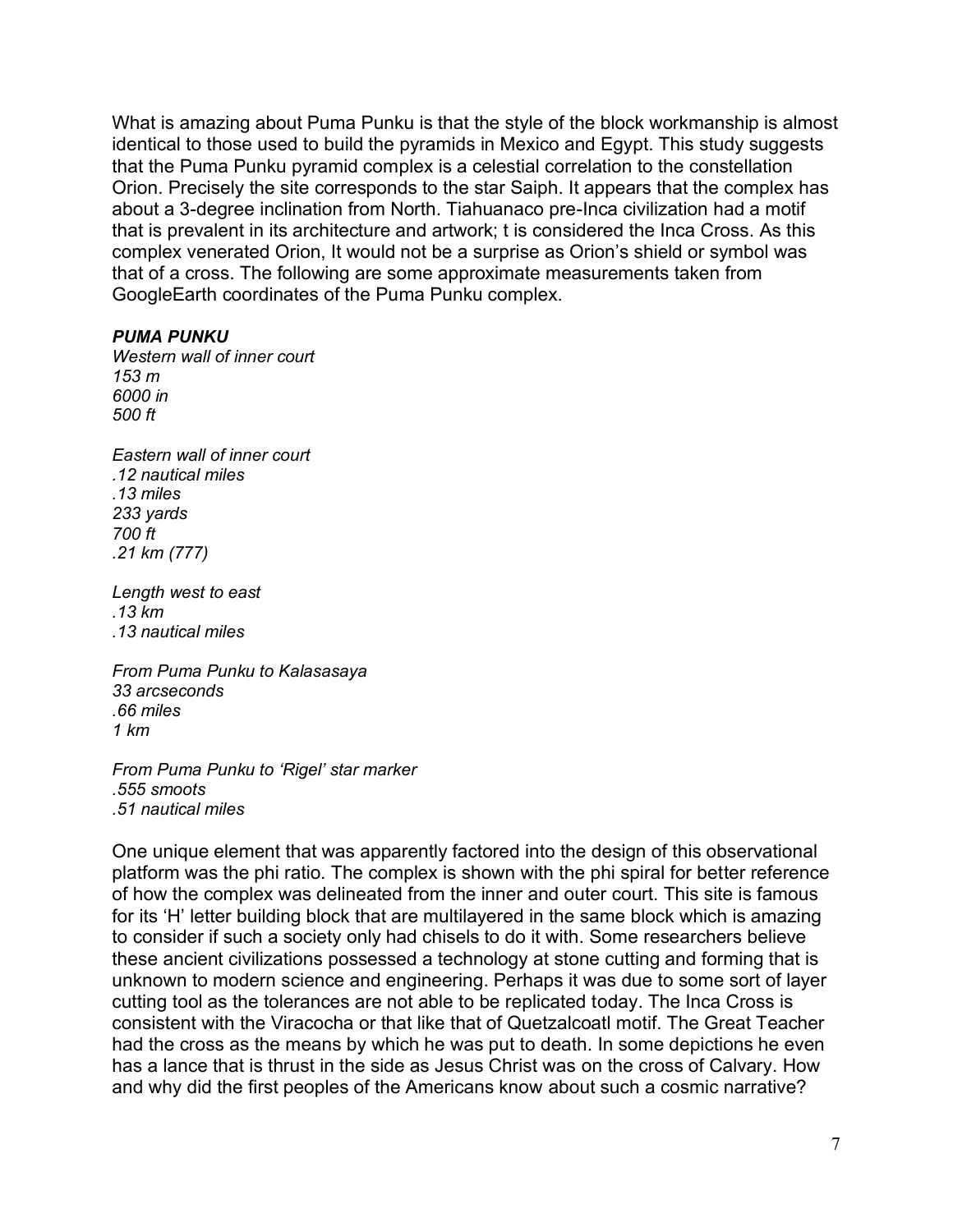What is amazing about Puma Punku is that the style of the block workmanship is almost identical to those used to build the pyramids in Mexico and Egypt. This study suggests that the Puma Punku pyramid complex is a celestial correlation to the constellation Orion. Precisely the site corresponds to the star Saiph. It appears that the complex has about a 3-degree inclination from North. Tiahuanaco pre-Inca civilization had a motif that is prevalent in its architecture and artwork; t is considered the Inca Cross. As this complex venerated Orion, It would not be a surprise as Orion's shield or symbol was that of a cross. The following are some approximate measurements taken from GoogleEarth coordinates of the Puma Punku complex.

#### *PUMA PUNKU*

*Western wall of inner court 153 m 6000 in 500 ft*

*Eastern wall of inner court .12 nautical miles .13 miles 233 yards 700 ft .21 km (777)*

*Length west to east .13 km .13 nautical miles*

*From Puma Punku to Kalasasaya 33 arcseconds .66 miles 1 km*

*From Puma Punku to 'Rigel' star marker .555 smoots .51 nautical miles*

One unique element that was apparently factored into the design of this observational platform was the phi ratio. The complex is shown with the phi spiral for better reference of how the complex was delineated from the inner and outer court. This site is famous for its 'H' letter building block that are multilayered in the same block which is amazing to consider if such a society only had chisels to do it with. Some researchers believe these ancient civilizations possessed a technology at stone cutting and forming that is unknown to modern science and engineering. Perhaps it was due to some sort of layer cutting tool as the tolerances are not able to be replicated today. The Inca Cross is consistent with the Viracocha or that like that of Quetzalcoatl motif. The Great Teacher had the cross as the means by which he was put to death. In some depictions he even has a lance that is thrust in the side as Jesus Christ was on the cross of Calvary. How and why did the first peoples of the Americans know about such a cosmic narrative?